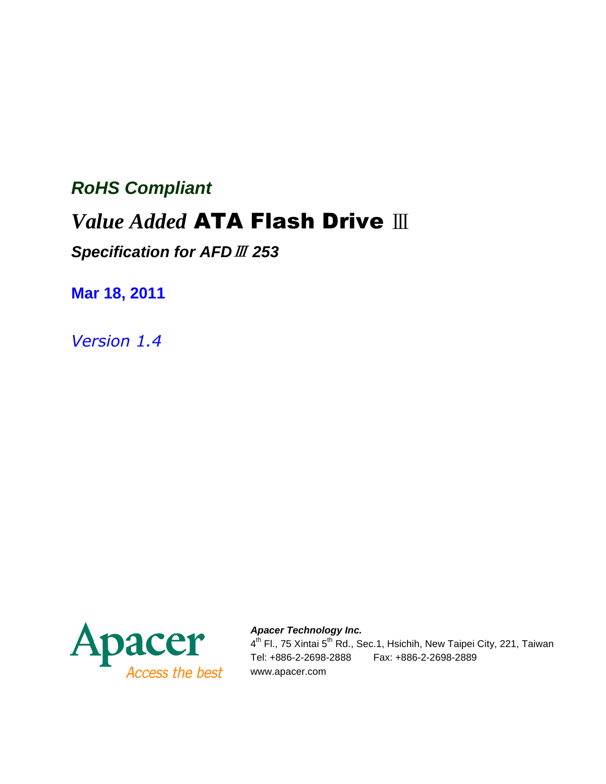# **RoHS Compliant**

# *Value Added* ATA Flash Drive Ⅲ

**Specification for AFD**Ⅲ **253**

**Mar 18, 2011** 

*Version 1.4* 



**Apacer Technology Inc.**  4<sup>th</sup> Fl., 75 Xintai 5<sup>th</sup> Rd., Sec.1, Hsichih, New Taipei City, 221, Taiwan Tel: +886-2-2698-2888 Fax: +886-2-2698-2889 www.apacer.com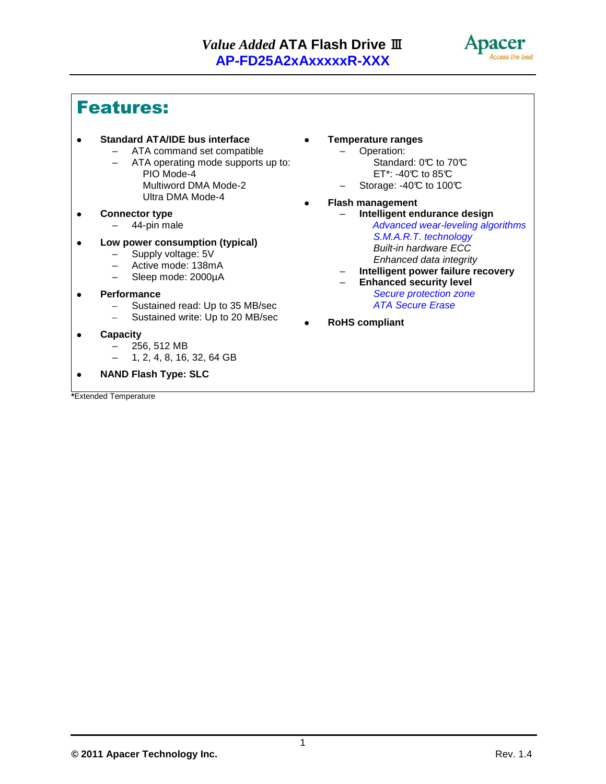

## Features:

- **Standard ATA/IDE bus interface** 
	- ATA command set compatible
		- ATA operating mode supports up to: PIO Mode-4 Multiword DMA Mode-2 Ultra DMA Mode-4
- **Connector type**  – 44-pin male
- **Low power consumption (typical)** 
	- Supply voltage: 5V<br>– Active mode: 138m
	- Active mode: 138mA
	- Sleep mode: 2000µA
- **Performance** 
	- Sustained read: Up to 35 MB/sec
	- Sustained write: Up to 20 MB/sec
- **Capacity** 
	- 256, 512 MB
	- 1, 2, 4, 8, 16, 32, 64 GB
- **NAND Flash Type: SLC**

**\***Extended Temperature

- **Temperature ranges** 
	- Operation: Standard: 0°C to 70°C ET\*: -40 $\mathbb C$  to 85 $\mathbb C$
	- $-$  Storage: -40°C to 100°C
- **Flash management** 
	- **Intelligent endurance design**  Advanced wear-leveling algorithms S.M.A.R.T. technology Built-in hardware ECC Enhanced data integrity
	- **Intelligent power failure recovery** 
		- **Enhanced security level**  Secure protection zone ATA Secure Erase
- **RoHS compliant**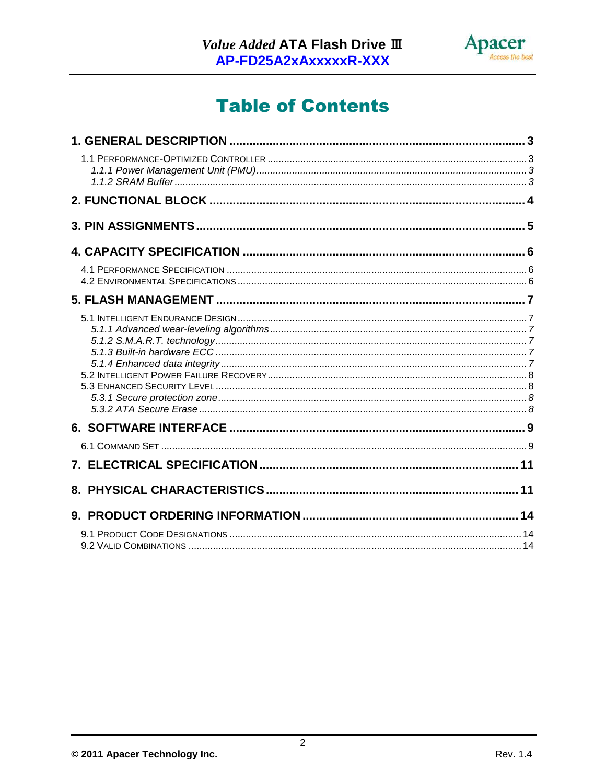

# **Table of Contents**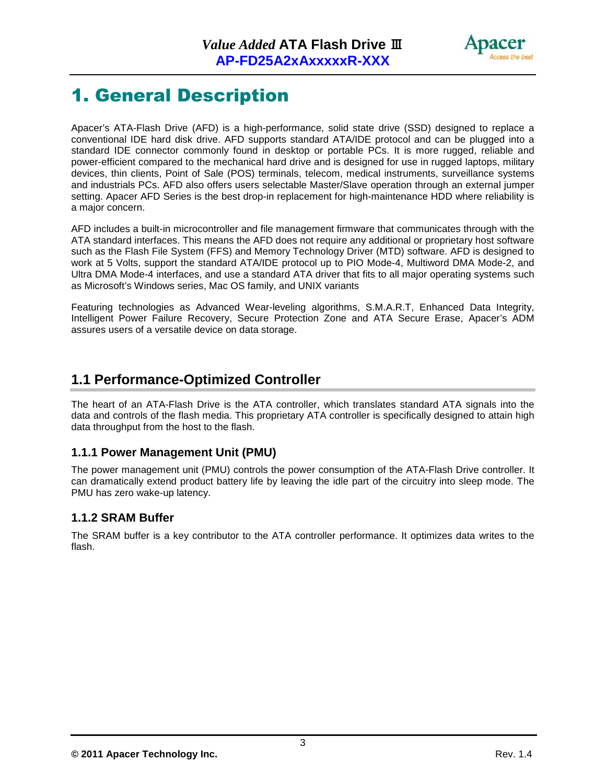

# 1. General Description

Apacer's ATA-Flash Drive (AFD) is a high-performance, solid state drive (SSD) designed to replace a conventional IDE hard disk drive. AFD supports standard ATA/IDE protocol and can be plugged into a standard IDE connector commonly found in desktop or portable PCs. It is more rugged, reliable and power-efficient compared to the mechanical hard drive and is designed for use in rugged laptops, military devices, thin clients, Point of Sale (POS) terminals, telecom, medical instruments, surveillance systems and industrials PCs. AFD also offers users selectable Master/Slave operation through an external jumper setting. Apacer AFD Series is the best drop-in replacement for high-maintenance HDD where reliability is a major concern.

AFD includes a built-in microcontroller and file management firmware that communicates through with the ATA standard interfaces. This means the AFD does not require any additional or proprietary host software such as the Flash File System (FFS) and Memory Technology Driver (MTD) software. AFD is designed to work at 5 Volts, support the standard ATA/IDE protocol up to PIO Mode-4, Multiword DMA Mode-2, and Ultra DMA Mode-4 interfaces, and use a standard ATA driver that fits to all major operating systems such as Microsoft's Windows series, Mac OS family, and UNIX variants

Featuring technologies as Advanced Wear-leveling algorithms, S.M.A.R.T, Enhanced Data Integrity, Intelligent Power Failure Recovery, Secure Protection Zone and ATA Secure Erase, Apacer's ADM assures users of a versatile device on data storage.

### **1.1 Performance-Optimized Controller**

The heart of an ATA-Flash Drive is the ATA controller, which translates standard ATA signals into the data and controls of the flash media. This proprietary ATA controller is specifically designed to attain high data throughput from the host to the flash.

#### **1.1.1 Power Management Unit (PMU)**

The power management unit (PMU) controls the power consumption of the ATA-Flash Drive controller. It can dramatically extend product battery life by leaving the idle part of the circuitry into sleep mode. The PMU has zero wake-up latency.

#### **1.1.2 SRAM Buffer**

The SRAM buffer is a key contributor to the ATA controller performance. It optimizes data writes to the flash.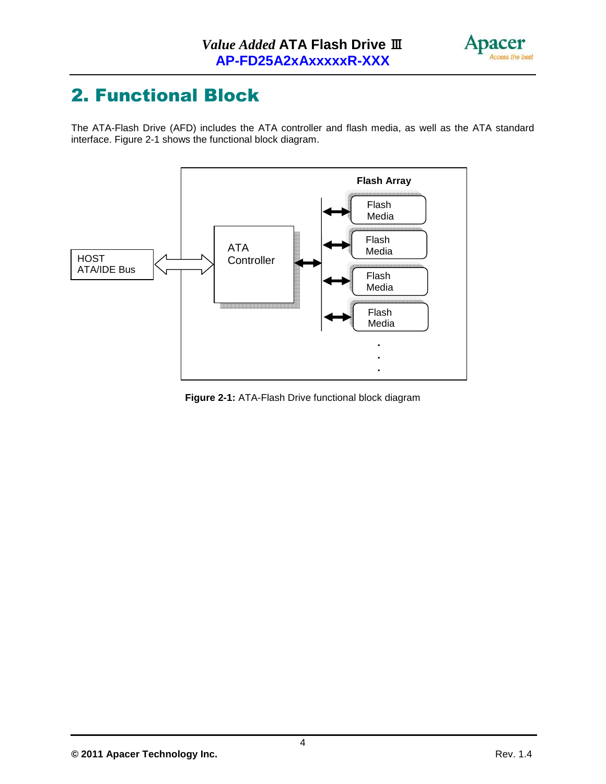

# 2. Functional Block

The ATA-Flash Drive (AFD) includes the ATA controller and flash media, as well as the ATA standard interface. Figure 2-1 shows the functional block diagram.



**Figure 2-1:** ATA-Flash Drive functional block diagram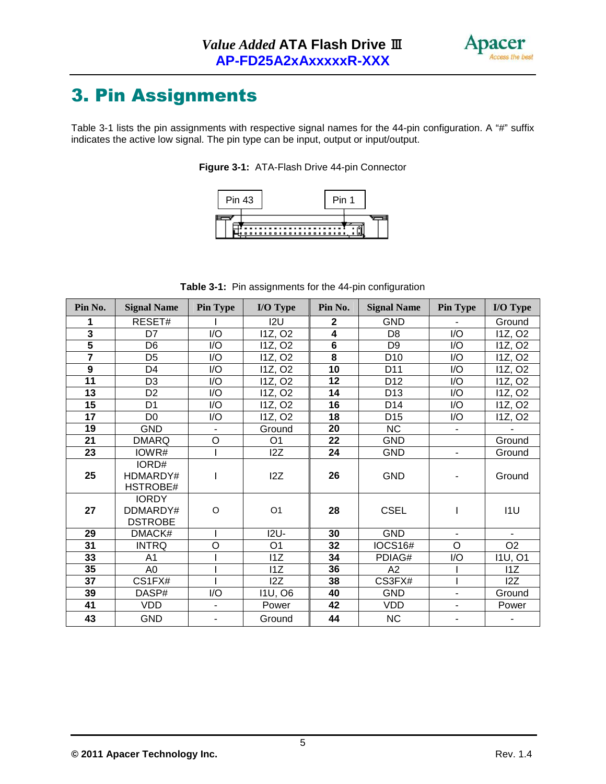

# 3. Pin Assignments

Table 3-1 lists the pin assignments with respective signal names for the 44-pin configuration. A "#" suffix indicates the active low signal. The pin type can be input, output or input/output.





**Table 3-1:** Pin assignments for the 44-pin configuration

| Pin No.                 | <b>Signal Name</b>                         | <b>Pin Type</b>  | I/O Type            | Pin No.                 | <b>Signal Name</b> | <b>Pin Type</b>          | I/O Type            |
|-------------------------|--------------------------------------------|------------------|---------------------|-------------------------|--------------------|--------------------------|---------------------|
|                         | RESET#                                     |                  | 12U                 | $\mathbf{2}$            | GND                |                          | Ground              |
| $\overline{\mathbf{3}}$ | D7                                         | $\overline{1/O}$ | 11Z, O <sub>2</sub> | $\overline{\mathbf{4}}$ | D <sub>8</sub>     | $\overline{1/O}$         | 11Z, O <sub>2</sub> |
| $\overline{\mathbf{5}}$ | D <sub>6</sub>                             | I/O              | 11Z, O <sub>2</sub> | 6                       | D <sub>9</sub>     | I/O                      | 11Z, O <sub>2</sub> |
| $\overline{\mathbf{7}}$ | D <sub>5</sub>                             | I/O              | 11Z, O <sub>2</sub> | 8                       | D <sub>10</sub>    | I/O                      | 11Z, O <sub>2</sub> |
| $\boldsymbol{9}$        | D <sub>4</sub>                             | I/O              | 11Z, O <sub>2</sub> | 10                      | D <sub>11</sub>    | I/O                      | 11Z, O <sub>2</sub> |
| 11                      | D <sub>3</sub>                             | I/O              | 11Z, O <sub>2</sub> | 12                      | D <sub>12</sub>    | I/O                      | 11Z, O <sub>2</sub> |
| 13                      | D <sub>2</sub>                             | I/O              | 11Z, O <sub>2</sub> | 14                      | D <sub>13</sub>    | I/O                      | 11Z, O <sub>2</sub> |
| 15                      | D <sub>1</sub>                             | I/O              | 11Z, O <sub>2</sub> | 16                      | D14                | I/O                      | 11Z, O <sub>2</sub> |
| 17                      | D <sub>0</sub>                             | I/O              | 11Z, O <sub>2</sub> | 18                      | D <sub>15</sub>    | I/O                      | 11Z, O <sub>2</sub> |
| 19                      | <b>GND</b>                                 | $\blacksquare$   | Ground              | 20                      | <b>NC</b>          | $\blacksquare$           |                     |
| $\overline{21}$         | <b>DMARQ</b>                               | $\circ$          | O <sub>1</sub>      | 22                      | <b>GND</b>         |                          | Ground              |
| 23                      | IOWR#                                      |                  | 12Z                 | 24                      | <b>GND</b>         | $\overline{\phantom{a}}$ | Ground              |
| 25                      | IORD#<br>HDMARDY#<br>HSTROBE#              |                  | 12Z                 | 26                      | <b>GND</b>         |                          | Ground              |
| 27                      | <b>IORDY</b><br>DDMARDY#<br><b>DSTROBE</b> | $\circ$          | O <sub>1</sub>      | 28                      | <b>CSEL</b>        | I                        | 11U                 |
| 29                      | DMACK#                                     |                  | $12U -$             | 30                      | <b>GND</b>         | $\blacksquare$           | $\blacksquare$      |
| 31                      | <b>INTRQ</b>                               | O                | O <sub>1</sub>      | 32                      | <b>IOCS16#</b>     | O                        | O <sub>2</sub>      |
| 33                      | A <sub>1</sub>                             |                  | 11Z                 | 34                      | PDIAG#             | I/O                      | <b>I1U, O1</b>      |
| 35                      | A <sub>0</sub>                             |                  | 11Z                 | 36                      | A2                 |                          | 11Z                 |
| 37                      | CS1FX#                                     |                  | 12Z                 | 38                      | CS3FX#             |                          | 12Z                 |
| 39                      | DASP#                                      | I/O              | <b>I1U, O6</b>      | 40                      | <b>GND</b>         | $\blacksquare$           | Ground              |
| 41                      | <b>VDD</b>                                 | $\blacksquare$   | Power               | 42                      | <b>VDD</b>         | $\blacksquare$           | Power               |
| 43                      | <b>GND</b>                                 |                  | Ground              | 44                      | <b>NC</b>          |                          |                     |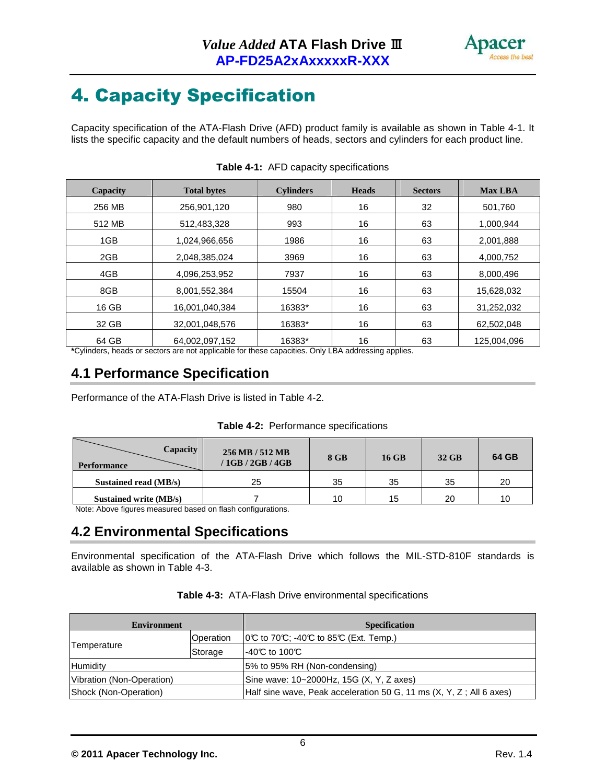

# 4. Capacity Specification

Capacity specification of the ATA-Flash Drive (AFD) product family is available as shown in Table 4-1. It lists the specific capacity and the default numbers of heads, sectors and cylinders for each product line.

| Capacity | <b>Total bytes</b> | <b>Cylinders</b> | <b>Heads</b> | <b>Sectors</b> | <b>Max LBA</b> |
|----------|--------------------|------------------|--------------|----------------|----------------|
| 256 MB   | 256,901,120        | 980              | 16           | 32             | 501,760        |
| 512 MB   | 512,483,328        | 993              | 16           | 63             | 1,000,944      |
| 1GB      | 1,024,966,656      | 1986             | 16           | 63             | 2,001,888      |
| 2GB      | 2,048,385,024      | 3969             | 16           | 63             | 4,000,752      |
| 4GB      | 4,096,253,952      | 7937             | 16           | 63             | 8,000,496      |
| 8GB      | 8,001,552,384      | 15504            | 16           | 63             | 15,628,032     |
| 16 GB    | 16,001,040,384     | 16383*           | 16           | 63             | 31,252,032     |
| 32 GB    | 32,001,048,576     | 16383*           | 16           | 63             | 62,502,048     |
| 64 GB    | 64.002.097.152     | 16383*           | 16           | 63             | 125.004.096    |

|  | <b>Table 4-1:</b> AFD capacity specifications |
|--|-----------------------------------------------|
|  |                                               |

**\***Cylinders, heads or sectors are not applicable for these capacities. Only LBA addressing applies.

## **4.1 Performance Specification**

Performance of the ATA-Flash Drive is listed in Table 4-2.

| Table 4-2: Performance specifications |  |  |  |
|---------------------------------------|--|--|--|
|---------------------------------------|--|--|--|

| Capacity<br><b>Performance</b> | 256 MB / 512 MB<br>/1GB/2GB/4GB | 8 GB | <b>16 GB</b> | 32 GB | 64 GB |
|--------------------------------|---------------------------------|------|--------------|-------|-------|
| Sustained read (MB/s)          | 25                              | 35   | 35           | 35    | 20    |
| Sustained write (MB/s)         |                                 | 10   | 15           | 20    | 10    |

Note: Above figures measured based on flash configurations.

### **4.2 Environmental Specifications**

Environmental specification of the ATA-Flash Drive which follows the MIL-STD-810F standards is available as shown in Table 4-3.

| Environment               |           | <b>Specification</b>                                                |
|---------------------------|-----------|---------------------------------------------------------------------|
|                           | Operation | $ 0\mathbb{C}$ to 70°C; -40°C to 85°C (Ext. Temp.)                  |
| Temperature               | Storage   | $-40C$ to 100C                                                      |
| Humidity                  |           | 5% to 95% RH (Non-condensing)                                       |
| Vibration (Non-Operation) |           | Sine wave: 10~2000Hz, 15G (X, Y, Z axes)                            |
| Shock (Non-Operation)     |           | Half sine wave, Peak acceleration 50 G, 11 ms (X, Y, Z; All 6 axes) |

|  | Table 4-3: ATA-Flash Drive environmental specifications |
|--|---------------------------------------------------------|
|--|---------------------------------------------------------|

6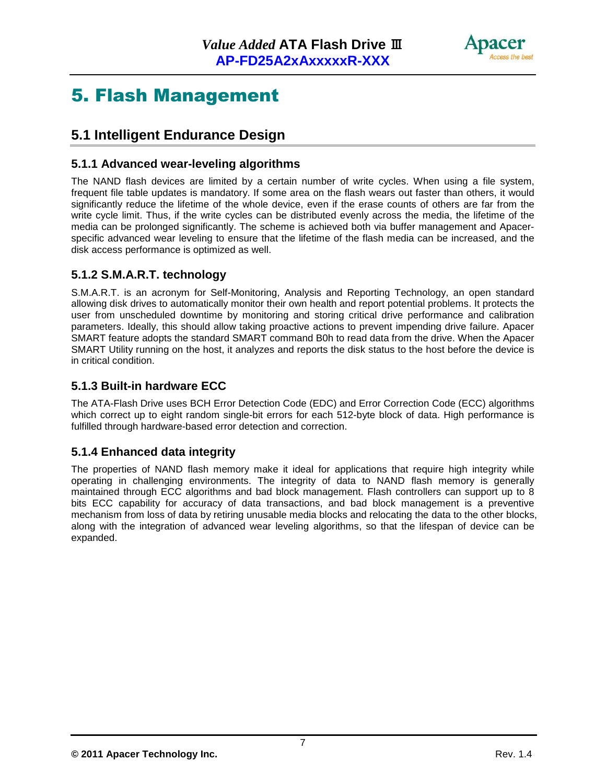

## 5. Flash Management

## **5.1 Intelligent Endurance Design**

#### **5.1.1 Advanced wear-leveling algorithms**

The NAND flash devices are limited by a certain number of write cycles. When using a file system, frequent file table updates is mandatory. If some area on the flash wears out faster than others, it would significantly reduce the lifetime of the whole device, even if the erase counts of others are far from the write cycle limit. Thus, if the write cycles can be distributed evenly across the media, the lifetime of the media can be prolonged significantly. The scheme is achieved both via buffer management and Apacerspecific advanced wear leveling to ensure that the lifetime of the flash media can be increased, and the disk access performance is optimized as well.

#### **5.1.2 S.M.A.R.T. technology**

S.M.A.R.T. is an acronym for Self-Monitoring, Analysis and Reporting Technology, an open standard allowing disk drives to automatically monitor their own health and report potential problems. It protects the user from unscheduled downtime by monitoring and storing critical drive performance and calibration parameters. Ideally, this should allow taking proactive actions to prevent impending drive failure. Apacer SMART feature adopts the standard SMART command B0h to read data from the drive. When the Apacer SMART Utility running on the host, it analyzes and reports the disk status to the host before the device is in critical condition.

#### **5.1.3 Built-in hardware ECC**

The ATA-Flash Drive uses BCH Error Detection Code (EDC) and Error Correction Code (ECC) algorithms which correct up to eight random single-bit errors for each 512-byte block of data. High performance is fulfilled through hardware-based error detection and correction.

#### **5.1.4 Enhanced data integrity**

The properties of NAND flash memory make it ideal for applications that require high integrity while operating in challenging environments. The integrity of data to NAND flash memory is generally maintained through ECC algorithms and bad block management. Flash controllers can support up to 8 bits ECC capability for accuracy of data transactions, and bad block management is a preventive mechanism from loss of data by retiring unusable media blocks and relocating the data to the other blocks, along with the integration of advanced wear leveling algorithms, so that the lifespan of device can be expanded.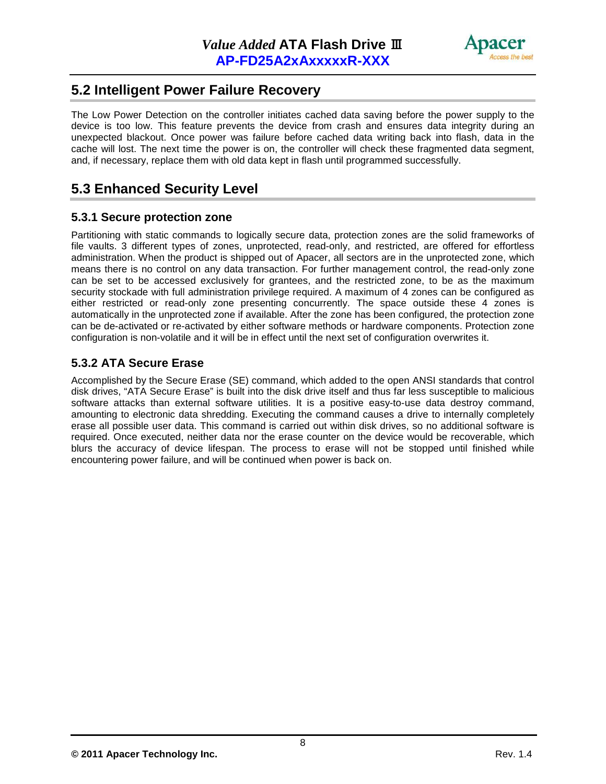

### **5.2 Intelligent Power Failure Recovery**

The Low Power Detection on the controller initiates cached data saving before the power supply to the device is too low. This feature prevents the device from crash and ensures data integrity during an unexpected blackout. Once power was failure before cached data writing back into flash, data in the cache will lost. The next time the power is on, the controller will check these fragmented data segment, and, if necessary, replace them with old data kept in flash until programmed successfully.

## **5.3 Enhanced Security Level**

#### **5.3.1 Secure protection zone**

Partitioning with static commands to logically secure data, protection zones are the solid frameworks of file vaults. 3 different types of zones, unprotected, read-only, and restricted, are offered for effortless administration. When the product is shipped out of Apacer, all sectors are in the unprotected zone, which means there is no control on any data transaction. For further management control, the read-only zone can be set to be accessed exclusively for grantees, and the restricted zone, to be as the maximum security stockade with full administration privilege required. A maximum of 4 zones can be configured as either restricted or read-only zone presenting concurrently. The space outside these 4 zones is automatically in the unprotected zone if available. After the zone has been configured, the protection zone can be de-activated or re-activated by either software methods or hardware components. Protection zone configuration is non-volatile and it will be in effect until the next set of configuration overwrites it.

#### **5.3.2 ATA Secure Erase**

Accomplished by the Secure Erase (SE) command, which added to the open ANSI standards that control disk drives, "ATA Secure Erase" is built into the disk drive itself and thus far less susceptible to malicious software attacks than external software utilities. It is a positive easy-to-use data destroy command, amounting to electronic data shredding. Executing the command causes a drive to internally completely erase all possible user data. This command is carried out within disk drives, so no additional software is required. Once executed, neither data nor the erase counter on the device would be recoverable, which blurs the accuracy of device lifespan. The process to erase will not be stopped until finished while encountering power failure, and will be continued when power is back on.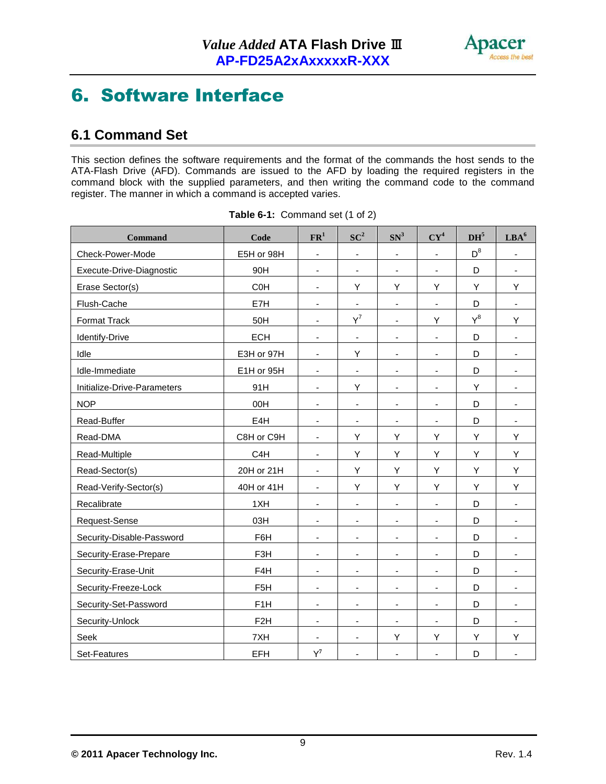

## 6. Software Interface

## **6.1 Command Set**

This section defines the software requirements and the format of the commands the host sends to the ATA-Flash Drive (AFD). Commands are issued to the AFD by loading the required registers in the command block with the supplied parameters, and then writing the command code to the command register. The manner in which a command is accepted varies.

| <b>Command</b>              | Code             | ${\bf FR}^1$                 | $SC^2$                   | SN <sup>3</sup>              | $CY^4$                   | DH <sup>5</sup> | $\mathbf{LBA}^6$             |
|-----------------------------|------------------|------------------------------|--------------------------|------------------------------|--------------------------|-----------------|------------------------------|
| Check-Power-Mode            | E5H or 98H       | $\blacksquare$               | $\overline{\phantom{a}}$ | $\blacksquare$               | ÷,                       | $D^8$           | $\blacksquare$               |
| Execute-Drive-Diagnostic    | 90H              | $\blacksquare$               | $\overline{\phantom{a}}$ | $\overline{\phantom{a}}$     | $\blacksquare$           | D               | $\blacksquare$               |
| Erase Sector(s)             | C <sub>O</sub> H | $\blacksquare$               | Υ                        | Υ                            | Υ                        | Υ               | Υ                            |
| Flush-Cache                 | E7H              | $\overline{\phantom{a}}$     | $\blacksquare$           | $\overline{\phantom{a}}$     | $\overline{\phantom{a}}$ | D               | $\overline{\phantom{a}}$     |
| Format Track                | 50H              | $\overline{\phantom{a}}$     | $Y^7$                    | $\overline{\phantom{a}}$     | Y                        | $Y^8$           | Υ                            |
| Identify-Drive              | <b>ECH</b>       | ä,                           | $\overline{\phantom{a}}$ | $\blacksquare$               | ÷,                       | D               | $\overline{\phantom{a}}$     |
| Idle                        | E3H or 97H       | $\blacksquare$               | Υ                        | $\overline{\phantom{a}}$     | $\blacksquare$           | D               | $\overline{\phantom{a}}$     |
| Idle-Immediate              | E1H or 95H       | $\blacksquare$               | $\blacksquare$           | $\overline{\phantom{a}}$     | $\overline{\phantom{a}}$ | D               | $\overline{\phantom{a}}$     |
| Initialize-Drive-Parameters | 91H              | $\blacksquare$               | Y                        | $\overline{\phantom{a}}$     | $\overline{\phantom{a}}$ | Y               | $\overline{\phantom{a}}$     |
| <b>NOP</b>                  | 00H              | $\overline{\phantom{a}}$     | $\overline{\phantom{a}}$ | $\blacksquare$               | $\blacksquare$           | D               | $\blacksquare$               |
| Read-Buffer                 | E4H              | $\overline{\phantom{a}}$     | ٠                        | $\blacksquare$               | $\blacksquare$           | D               | $\overline{\phantom{a}}$     |
| Read-DMA                    | C8H or C9H       | $\blacksquare$               | Y                        | Υ                            | Υ                        | Y               | Υ                            |
| Read-Multiple               | C <sub>4</sub> H | $\blacksquare$               | Υ                        | Υ                            | Υ                        | Y               | Υ                            |
| Read-Sector(s)              | 20H or 21H       | $\qquad \qquad \blacksquare$ | Υ                        | Υ                            | Υ                        | Υ               | Υ                            |
| Read-Verify-Sector(s)       | 40H or 41H       | $\blacksquare$               | Υ                        | Υ                            | Υ                        | Y               | Υ                            |
| Recalibrate                 | 1XH              | $\blacksquare$               | $\blacksquare$           | $\blacksquare$               | $\blacksquare$           | D               | $\blacksquare$               |
| Request-Sense               | 03H              | $\overline{\phantom{a}}$     | $\overline{\phantom{a}}$ | $\overline{\phantom{a}}$     | $\blacksquare$           | D               | $\overline{\phantom{a}}$     |
| Security-Disable-Password   | F6H              | $\blacksquare$               | ٠                        | $\overline{\phantom{a}}$     | $\blacksquare$           | D               | $\overline{\phantom{a}}$     |
| Security-Erase-Prepare      | F3H              | $\qquad \qquad \blacksquare$ | $\overline{\phantom{a}}$ | $\qquad \qquad \blacksquare$ |                          | D               | $\blacksquare$               |
| Security-Erase-Unit         | F4H              | $\blacksquare$               | $\overline{\phantom{a}}$ | $\overline{\phantom{a}}$     | $\overline{\phantom{m}}$ | D               | $\overline{\phantom{a}}$     |
| Security-Freeze-Lock        | F <sub>5</sub> H | $\blacksquare$               | $\overline{\phantom{a}}$ | $\blacksquare$               | $\blacksquare$           | D               | $\overline{\phantom{a}}$     |
| Security-Set-Password       | F <sub>1</sub> H | $\overline{\phantom{a}}$     | $\overline{\phantom{a}}$ | $\overline{\phantom{a}}$     | $\overline{\phantom{a}}$ | D               | $\overline{\phantom{a}}$     |
| Security-Unlock             | F <sub>2</sub> H | $\overline{\phantom{a}}$     | $\overline{\phantom{a}}$ | $\overline{\phantom{a}}$     | ä,                       | D               | $\qquad \qquad \blacksquare$ |
| Seek                        | 7XH              | $\blacksquare$               | $\blacksquare$           | Υ                            | Υ                        | Y               | Υ                            |
| Set-Features                | <b>EFH</b>       | $Y^7$                        | $\blacksquare$           | $\overline{\phantom{a}}$     | $\overline{\phantom{a}}$ | D               | $\overline{\phantom{a}}$     |

|  | Table 6-1: Command set (1 of 2) |  |  |
|--|---------------------------------|--|--|
|  |                                 |  |  |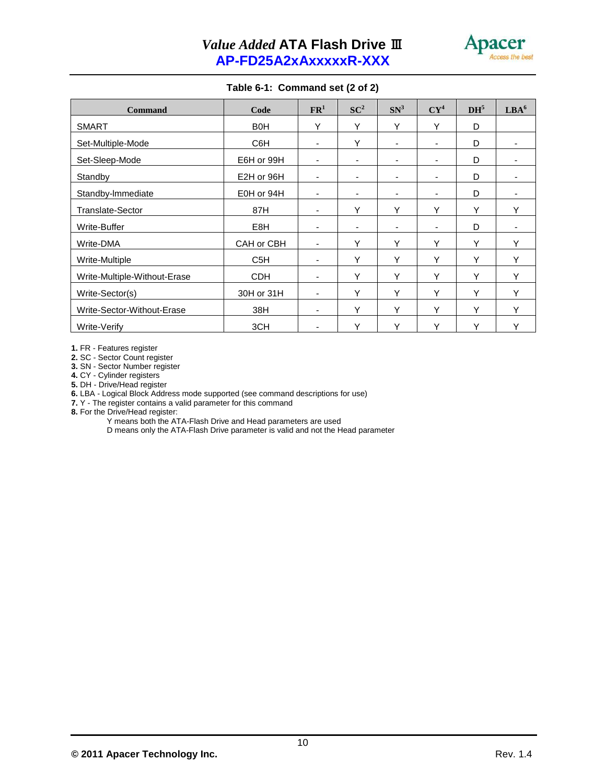

#### **Table 6-1: Command set (2 of 2)**

| <b>Command</b>               | Code             | $\mathbf{FR}^1$ | $SC^2$ | SN <sup>3</sup>          | $CY^4$                   | DH <sup>5</sup> | LBA <sup>6</sup> |
|------------------------------|------------------|-----------------|--------|--------------------------|--------------------------|-----------------|------------------|
| <b>SMART</b>                 | B <sub>0</sub> H | Υ               | Υ      | Υ                        | Y                        | D               |                  |
| Set-Multiple-Mode            | C6H              | $\blacksquare$  | Υ      | ٠                        | $\overline{\phantom{a}}$ | D               |                  |
| Set-Sleep-Mode               | E6H or 99H       | $\blacksquare$  | ۰.     | $\overline{\phantom{a}}$ | $\overline{\phantom{a}}$ | D               | $\blacksquare$   |
| Standby                      | E2H or 96H       | $\overline{a}$  |        | ٠                        | $\overline{\phantom{a}}$ | D               |                  |
| Standby-Immediate            | E0H or 94H       |                 |        | ٠                        | ٠                        | D               |                  |
| <b>Translate-Sector</b>      | 87H              | $\blacksquare$  | Υ      | Υ                        | Y                        | Υ               | Υ                |
| Write-Buffer                 | E8H              | $\blacksquare$  | ٠      | ٠                        | $\blacksquare$           | D               |                  |
| Write-DMA                    | CAH or CBH       | $\blacksquare$  | Υ      | Υ                        | Y                        | Υ               | Υ                |
| Write-Multiple               | C <sub>5</sub> H | ٠               | Υ      | Υ                        | Y                        | Υ               | Υ                |
| Write-Multiple-Without-Erase | <b>CDH</b>       | ä,              | Υ      | Υ                        | Y                        | Υ               | Υ                |
| Write-Sector(s)              | 30H or 31H       | $\blacksquare$  | Υ      | Υ                        | Y                        | Y               | Υ                |
| Write-Sector-Without-Erase   | 38H              | $\blacksquare$  | Y      | Y                        | Y                        | Y               | Υ                |
| Write-Verify                 | 3CH              | $\blacksquare$  | Y      | Υ                        | Y                        | Υ               | Υ                |

**1.** FR - Features register

**2.** SC - Sector Count register

**3.** SN - Sector Number register

**4.** CY - Cylinder registers

**5.** DH - Drive/Head register

**6.** LBA - Logical Block Address mode supported (see command descriptions for use)

**7.** Y - The register contains a valid parameter for this command

**8.** For the Drive/Head register:

Y means both the ATA-Flash Drive and Head parameters are used

D means only the ATA-Flash Drive parameter is valid and not the Head parameter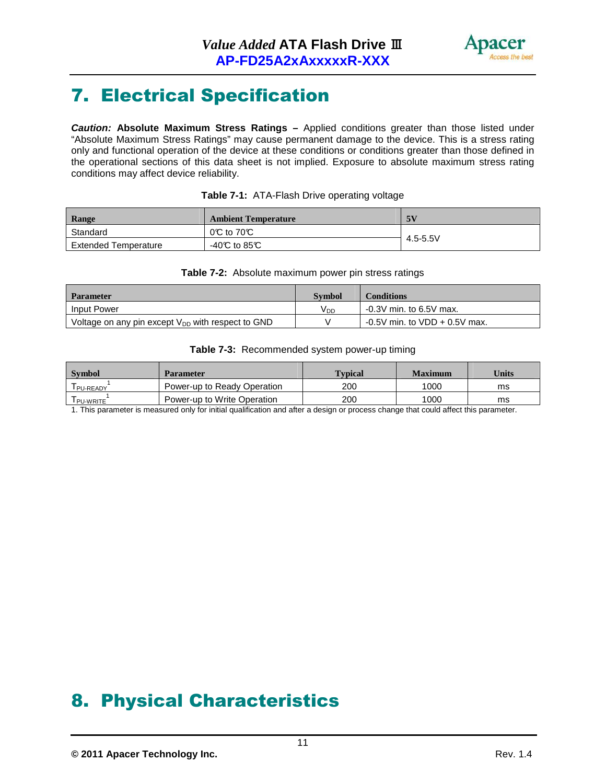

# 7. Electrical Specification

**Caution: Absolute Maximum Stress Ratings –** Applied conditions greater than those listed under "Absolute Maximum Stress Ratings" may cause permanent damage to the device. This is a stress rating only and functional operation of the device at these conditions or conditions greater than those defined in the operational sections of this data sheet is not implied. Exposure to absolute maximum stress rating conditions may affect device reliability.

| Range                       | <b>Ambient Temperature</b>              | 5V       |
|-----------------------------|-----------------------------------------|----------|
| Standard                    | $0^\circ\text{C}$ to $70^\circ\text{C}$ |          |
| <b>Extended Temperature</b> | $-40C$ to 85°C                          | 4.5-5.5V |

#### **Table 7-1:** ATA-Flash Drive operating voltage

#### **Table 7-2:** Absolute maximum power pin stress ratings

| <b>Parameter</b>                                       | <b>Symbol</b>   | <b>Conditions</b>                |
|--------------------------------------------------------|-----------------|----------------------------------|
| <b>Input Power</b>                                     | V <sub>DD</sub> | $-0.3V$ min. to 6.5V max.        |
| Voltage on any pin except $V_{DD}$ with respect to GND |                 | $-0.5V$ min. to VDD $+0.5V$ max. |

#### **Table 7-3:** Recommended system power-up timing

| Symbol     | <b>Parameter</b>            | <b>Typical</b> | <b>Maximum</b> | Units |
|------------|-----------------------------|----------------|----------------|-------|
| I PU-READY | Power-up to Ready Operation | 200            | 1000           | ms    |
| I PU-WRITE | Power-up to Write Operation | 200            | 1000           | ms    |

1. This parameter is measured only for initial qualification and after a design or process change that could affect this parameter.

## 8. Physical Characteristics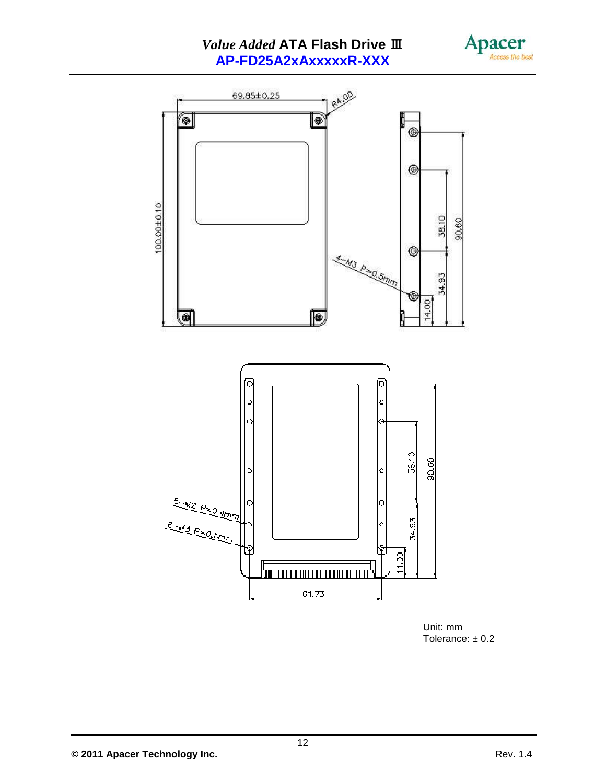### *Value Added* **ATA Flash Drive** Ⅲ **AP-FD25A2xAxxxxxR-XXX**





Unit: mm Tolerance:  $\pm$  0.2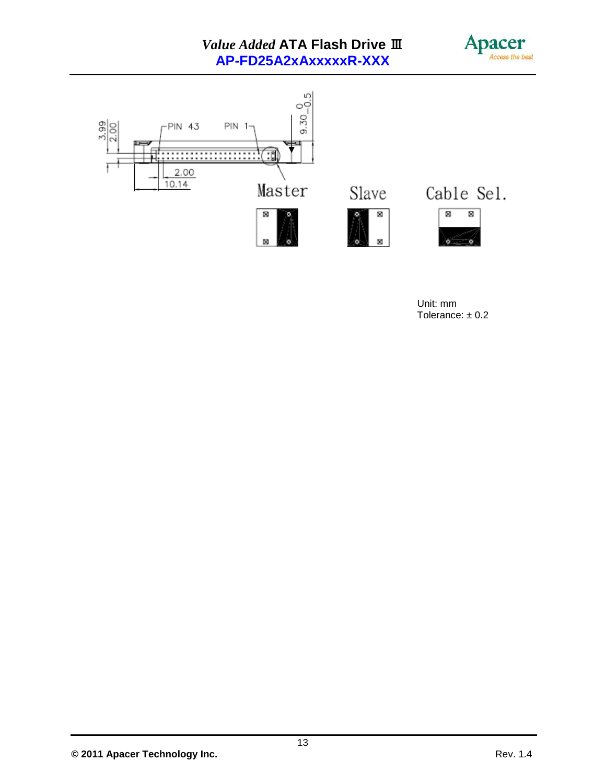### *Value Added* **ATA Flash Drive** Ⅲ **AP-FD25A2xAxxxxxR-XXX**





Unit: mm Tolerance: ± 0.2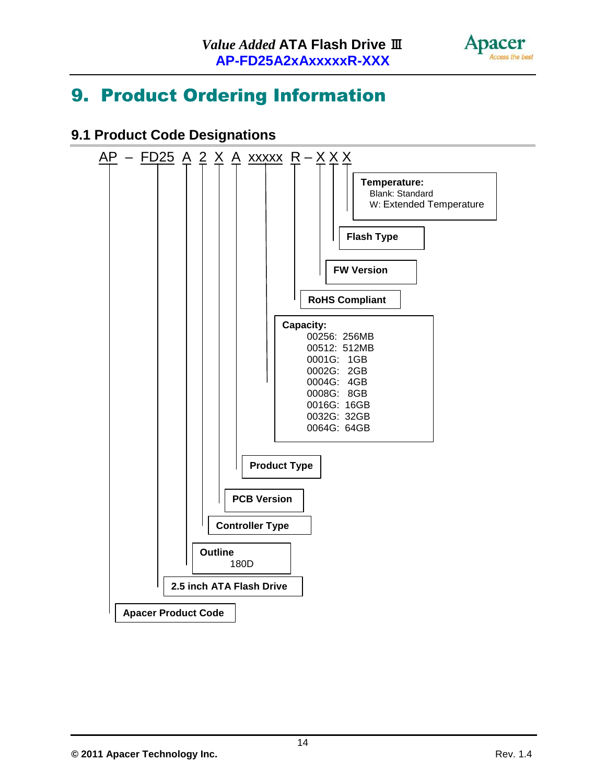

## 9. Product Ordering Information

## **9.1 Product Code Designations**

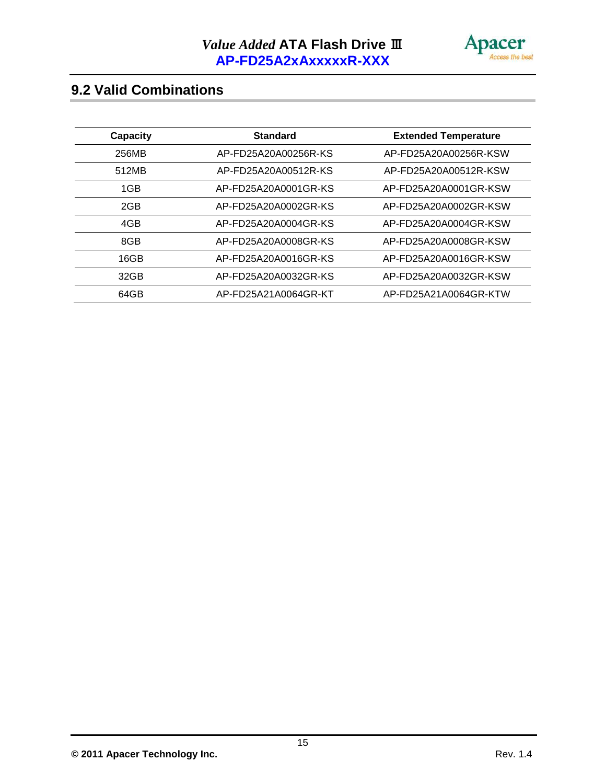

## **9.2 Valid Combinations**

| <b>Capacity</b> | <b>Standard</b>      | <b>Extended Temperature</b> |
|-----------------|----------------------|-----------------------------|
| 256MB           | AP-FD25A20A00256R-KS | AP-FD25A20A00256R-KSW       |
| 512MB           | AP-FD25A20A00512R-KS | AP-FD25A20A00512R-KSW       |
| 1GB             | AP-FD25A20A0001GR-KS | AP-FD25A20A0001GR-KSW       |
| 2GB             | AP-FD25A20A0002GR-KS | AP-FD25A20A0002GR-KSW       |
| 4GB             | AP-FD25A20A0004GR-KS | AP-FD25A20A0004GR-KSW       |
| 8GB             | AP-FD25A20A0008GR-KS | AP-FD25A20A0008GR-KSW       |
| 16GB            | AP-FD25A20A0016GR-KS | AP-FD25A20A0016GR-KSW       |
| 32GB            | AP-FD25A20A0032GR-KS | AP-FD25A20A0032GR-KSW       |
| 64GB            | AP-FD25A21A0064GR-KT | AP-FD25A21A0064GR-KTW       |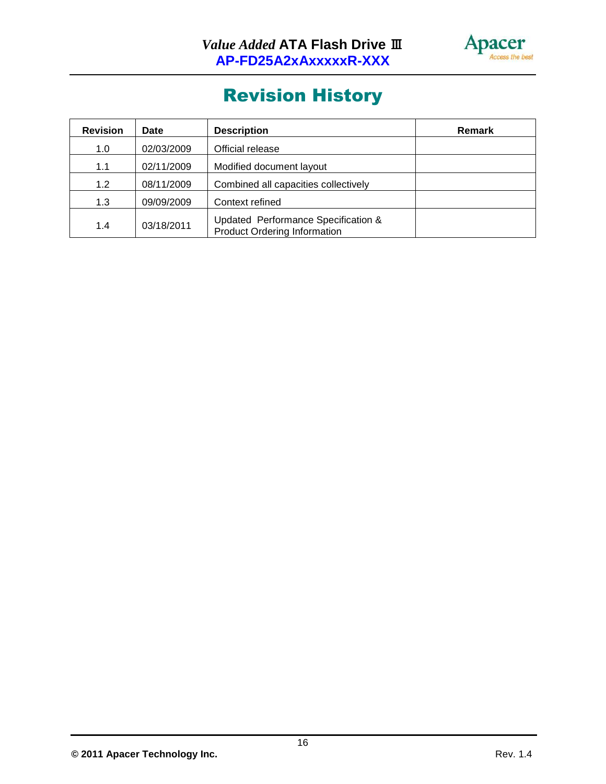

# Revision History

| <b>Revision</b> | Date       | <b>Description</b>                                                         | <b>Remark</b> |
|-----------------|------------|----------------------------------------------------------------------------|---------------|
| 1.0             | 02/03/2009 | Official release                                                           |               |
| 1.1             | 02/11/2009 | Modified document layout                                                   |               |
| 1.2             | 08/11/2009 | Combined all capacities collectively                                       |               |
| 1.3             | 09/09/2009 | Context refined                                                            |               |
| 1.4             | 03/18/2011 | Updated Performance Specification &<br><b>Product Ordering Information</b> |               |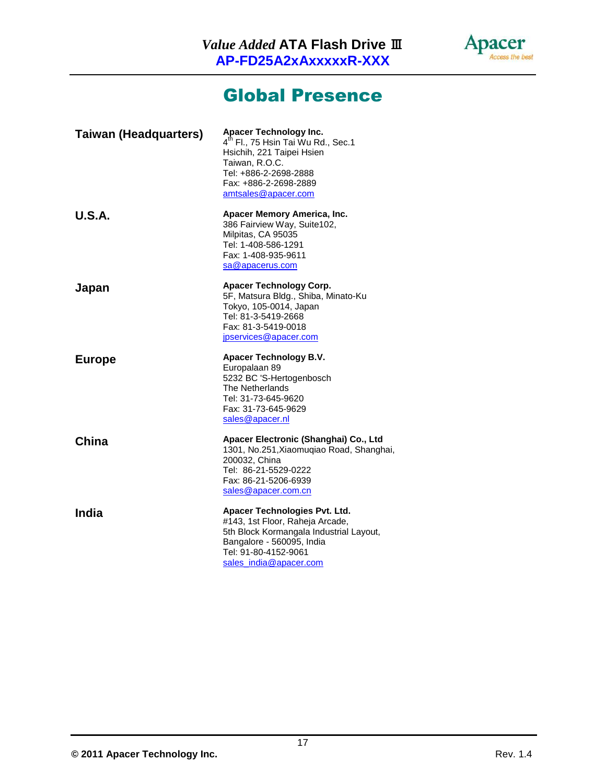

## Global Presence

| <b>Taiwan (Headquarters)</b> | Apacer Technology Inc.<br>4 <sup>th</sup> Fl., 75 Hsin Tai Wu Rd., Sec.1<br>Hsichih, 221 Taipei Hsien<br>Taiwan, R.O.C.<br>Tel: +886-2-2698-2888<br>Fax: +886-2-2698-2889<br>amtsales@apacer.com |
|------------------------------|--------------------------------------------------------------------------------------------------------------------------------------------------------------------------------------------------|
| <b>U.S.A.</b>                | Apacer Memory America, Inc.<br>386 Fairview Way, Suite102,<br>Milpitas, CA 95035<br>Tel: 1-408-586-1291<br>Fax: 1-408-935-9611<br>sa@apacerus.com                                                |
| Japan                        | Apacer Technology Corp.<br>5F, Matsura Bldg., Shiba, Minato-Ku<br>Tokyo, 105-0014, Japan<br>Tel: 81-3-5419-2668<br>Fax: 81-3-5419-0018<br>jpservices@apacer.com                                  |
| <b>Europe</b>                | Apacer Technology B.V.<br>Europalaan 89<br>5232 BC 'S-Hertogenbosch<br>The Netherlands<br>Tel: 31-73-645-9620<br>Fax: 31-73-645-9629<br>sales@apacer.nl                                          |
|                              |                                                                                                                                                                                                  |
| China                        | Apacer Electronic (Shanghai) Co., Ltd<br>1301, No.251, Xiaomuqiao Road, Shanghai,<br>200032, China<br>Tel: 86-21-5529-0222<br>Fax: 86-21-5206-6939<br>sales@apacer.com.cn                        |